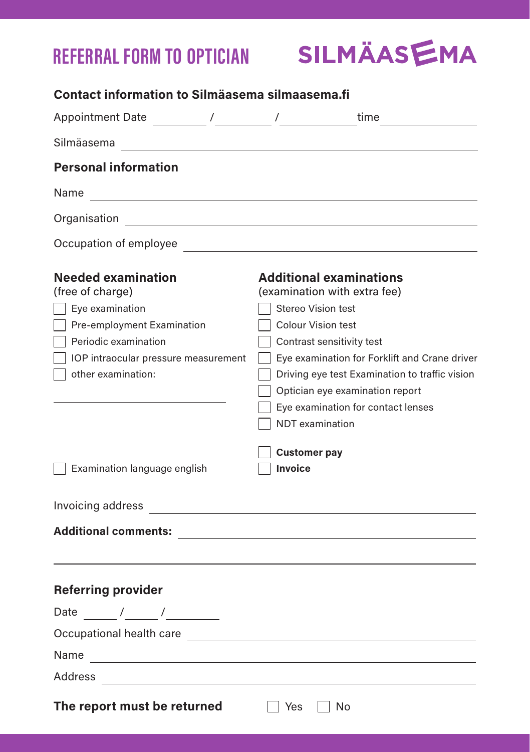## **REFERRAL FORM TO OPTICIAN**

| SILMÄASEMA |  |  |
|------------|--|--|
|            |  |  |

| Contact information to Silmäasema silmaasema.fi                                                                                                                                                                                 |                                                                                                                                                                                                                                                                                                                                                                                        |
|---------------------------------------------------------------------------------------------------------------------------------------------------------------------------------------------------------------------------------|----------------------------------------------------------------------------------------------------------------------------------------------------------------------------------------------------------------------------------------------------------------------------------------------------------------------------------------------------------------------------------------|
|                                                                                                                                                                                                                                 |                                                                                                                                                                                                                                                                                                                                                                                        |
| Silmäasema<br><u> 1990 - John Harry Harry Harry Harry Harry Harry Harry Harry Harry Harry Harry Harry Harry Harry Harry Harry</u>                                                                                               |                                                                                                                                                                                                                                                                                                                                                                                        |
| <b>Personal information</b>                                                                                                                                                                                                     |                                                                                                                                                                                                                                                                                                                                                                                        |
| Name                                                                                                                                                                                                                            |                                                                                                                                                                                                                                                                                                                                                                                        |
|                                                                                                                                                                                                                                 |                                                                                                                                                                                                                                                                                                                                                                                        |
| Occupation of employee                                                                                                                                                                                                          |                                                                                                                                                                                                                                                                                                                                                                                        |
| <b>Needed examination</b><br>(free of charge)<br>$\Box$ Eye examination<br>Pre-employment Examination<br>Periodic examination<br>  IOP intraocular pressure measurement<br>other examination:<br>  Examination language english | <b>Additional examinations</b><br>(examination with extra fee)<br><b>Stereo Vision test</b><br>Colour Vision test<br>Contrast sensitivity test<br>Eye examination for Forklift and Crane driver<br>Driving eye test Examination to traffic vision<br>Optician eye examination report<br>Eye examination for contact lenses<br>NDT examination<br><b>Customer pay</b><br><b>Invoice</b> |
| Invoicing address                                                                                                                                                                                                               |                                                                                                                                                                                                                                                                                                                                                                                        |
| Additional comments: and the contract of the contract of the contract of the contract of the contract of the contract of the contract of the contract of the contract of the contract of the contract of the contract of the c  |                                                                                                                                                                                                                                                                                                                                                                                        |
| <b>Referring provider</b><br>Date $\frac{1}{\sqrt{2}}$<br>Occupational health care                                                                                                                                              |                                                                                                                                                                                                                                                                                                                                                                                        |
|                                                                                                                                                                                                                                 |                                                                                                                                                                                                                                                                                                                                                                                        |
|                                                                                                                                                                                                                                 |                                                                                                                                                                                                                                                                                                                                                                                        |
| The report must be returned                                                                                                                                                                                                     | l Yes<br>l No                                                                                                                                                                                                                                                                                                                                                                          |